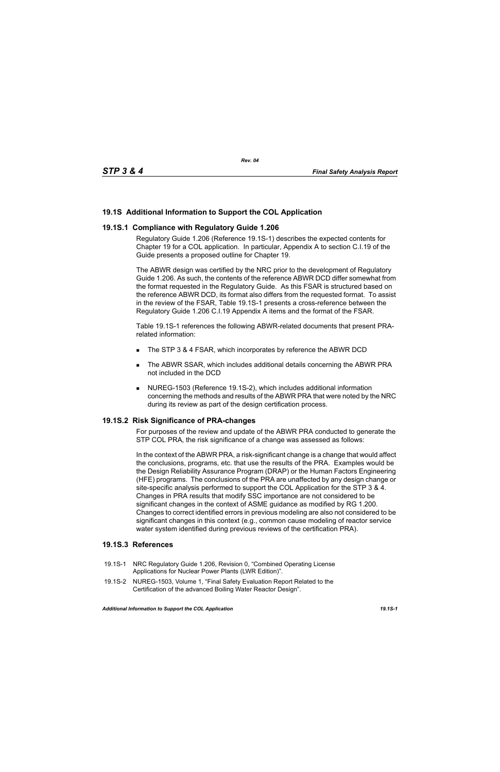# **19.1S Additional Information to Support the COL Application**

### **19.1S.1 Compliance with Regulatory Guide 1.206**

Regulatory Guide 1.206 (Reference 19.1S-1) describes the expected contents for Chapter 19 for a COL application. In particular, Appendix A to section C.I.19 of the Guide presents a proposed outline for Chapter 19.

The ABWR design was certified by the NRC prior to the development of Regulatory Guide 1.206. As such, the contents of the reference ABWR DCD differ somewhat from the format requested in the Regulatory Guide. As this FSAR is structured based on the reference ABWR DCD, its format also differs from the requested format. To assist in the review of the FSAR, Table 19.1S-1 presents a cross-reference between the Regulatory Guide 1.206 C.I.19 Appendix A items and the format of the FSAR.

Table 19.1S-1 references the following ABWR-related documents that present PRArelated information:

- The STP 3 & 4 FSAR, which incorporates by reference the ABWR DCD
- The ABWR SSAR, which includes additional details concerning the ABWR PRA not included in the DCD
- NUREG-1503 (Reference 19.1S-2), which includes additional information concerning the methods and results of the ABWR PRA that were noted by the NRC during its review as part of the design certification process.

### **19.1S.2 Risk Significance of PRA-changes**

For purposes of the review and update of the ABWR PRA conducted to generate the STP COL PRA, the risk significance of a change was assessed as follows:

In the context of the ABWR PRA, a risk-significant change is a change that would affect the conclusions, programs, etc. that use the results of the PRA. Examples would be the Design Reliability Assurance Program (DRAP) or the Human Factors Engineering (HFE) programs. The conclusions of the PRA are unaffected by any design change or site-specific analysis performed to support the COL Application for the STP 3 & 4. Changes in PRA results that modify SSC importance are not considered to be significant changes in the context of ASME guidance as modified by RG 1.200. Changes to correct identified errors in previous modeling are also not considered to be significant changes in this context (e.g., common cause modeling of reactor service water system identified during previous reviews of the certification PRA).

## **19.1S.3 References**

- 19.1S-1 NRC Regulatory Guide 1.206, Revision 0, "Combined Operating License Applications for Nuclear Power Plants (LWR Edition)".
- 19.1S-2 NUREG-1503, Volume 1, "Final Safety Evaluation Report Related to the Certification of the advanced Boiling Water Reactor Design".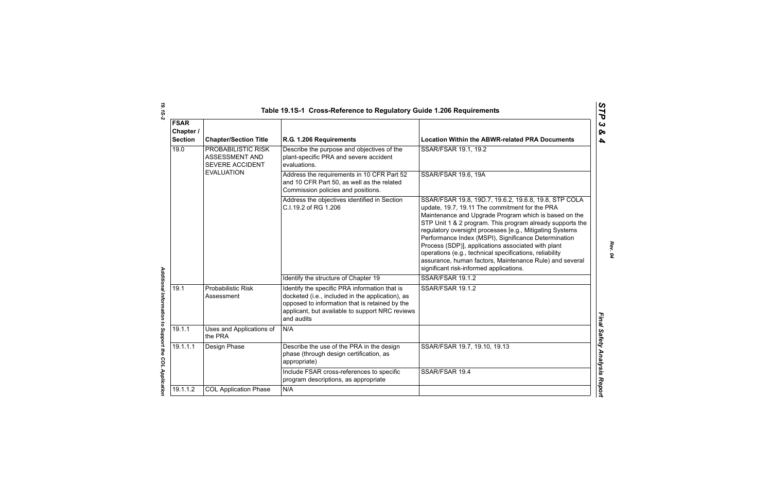|                                            |                                                         | Table 19.1S-1 Cross-Reference to Regulatory Guide 1.206 Requirements                                                                                                                                                 |                                                                                                                                                                                                                                                                                                                                                                                                                                                                                                                                                                          |
|--------------------------------------------|---------------------------------------------------------|----------------------------------------------------------------------------------------------------------------------------------------------------------------------------------------------------------------------|--------------------------------------------------------------------------------------------------------------------------------------------------------------------------------------------------------------------------------------------------------------------------------------------------------------------------------------------------------------------------------------------------------------------------------------------------------------------------------------------------------------------------------------------------------------------------|
| <b>FSAR</b><br>Chapter /<br><b>Section</b> | <b>Chapter/Section Title</b>                            | R.G. 1.206 Requirements                                                                                                                                                                                              | <b>Location Within the ABWR-related PRA Documents</b>                                                                                                                                                                                                                                                                                                                                                                                                                                                                                                                    |
| 19.0                                       | PROBABILISTIC RISK<br>ASSESSMENT AND<br>SEVERE ACCIDENT | Describe the purpose and objectives of the<br>plant-specific PRA and severe accident<br>evaluations.                                                                                                                 | SSAR/FSAR 19.1, 19.2                                                                                                                                                                                                                                                                                                                                                                                                                                                                                                                                                     |
|                                            | <b>EVALUATION</b>                                       | Address the requirements in 10 CFR Part 52<br>and 10 CFR Part 50, as well as the related<br>Commission policies and positions.                                                                                       | <b>SSAR/FSAR 19.6, 19A</b>                                                                                                                                                                                                                                                                                                                                                                                                                                                                                                                                               |
|                                            |                                                         | Address the objectives identified in Section<br>C.I.19.2 of RG 1.206                                                                                                                                                 | SSAR/FSAR 19.8, 19D.7, 19.6.2, 19.6.8, 19.8, STP COLA<br>update, 19.7, 19.11 The commitment for the PRA<br>Maintenance and Upgrade Program which is based on the<br>STP Unit 1 & 2 program. This program already supports the<br>regulatory oversight processes [e.g., Mitigating Systems<br>Performance Index (MSPI), Significance Determination<br>Process (SDP)], applications associated with plant<br>operations (e.g., technical specifications, reliability<br>assurance, human factors, Maintenance Rule) and several<br>significant risk-informed applications. |
|                                            |                                                         | Identify the structure of Chapter 19                                                                                                                                                                                 | SSAR/FSAR 19.1.2                                                                                                                                                                                                                                                                                                                                                                                                                                                                                                                                                         |
| 19.1                                       | <b>Probabilistic Risk</b><br>Assessment                 | Identify the specific PRA information that is<br>docketed (i.e., included in the application), as<br>opposed to information that is retained by the<br>applicant, but available to support NRC reviews<br>and audits | SSAR/FSAR 19.1.2                                                                                                                                                                                                                                                                                                                                                                                                                                                                                                                                                         |
| 19.1.1                                     | Uses and Applications of<br>the PRA                     | N/A                                                                                                                                                                                                                  |                                                                                                                                                                                                                                                                                                                                                                                                                                                                                                                                                                          |
| 19.1.1.1                                   | Design Phase                                            | Describe the use of the PRA in the design<br>phase (through design certification, as<br>appropriate)                                                                                                                 | SSAR/FSAR 19.7, 19.10, 19.13                                                                                                                                                                                                                                                                                                                                                                                                                                                                                                                                             |
|                                            |                                                         | Include FSAR cross-references to specific<br>program descriptions, as appropriate                                                                                                                                    | SSAR/FSAR 19.4                                                                                                                                                                                                                                                                                                                                                                                                                                                                                                                                                           |
| 19.1.1.2                                   | <b>COL Application Phase</b>                            | N/A                                                                                                                                                                                                                  |                                                                                                                                                                                                                                                                                                                                                                                                                                                                                                                                                                          |
|                                            |                                                         |                                                                                                                                                                                                                      |                                                                                                                                                                                                                                                                                                                                                                                                                                                                                                                                                                          |

*Rev. 04*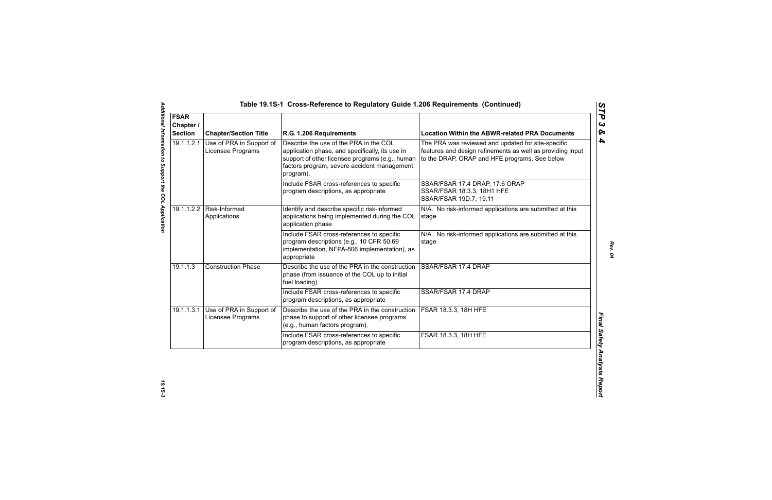| <b>FSAR</b><br>Chapter /<br><b>Section</b> | <b>Chapter/Section Title</b>                  | R.G. 1.206 Requirements                                                                                                                                                                                  | <b>Location Within the ABWR-related PRA Documents</b>                                                                                                             |
|--------------------------------------------|-----------------------------------------------|----------------------------------------------------------------------------------------------------------------------------------------------------------------------------------------------------------|-------------------------------------------------------------------------------------------------------------------------------------------------------------------|
| 19.1.1.2.1                                 | Use of PRA in Support of<br>Licensee Programs | Describe the use of the PRA in the COL<br>application phase, and specifically, its use in<br>support of other licensee programs (e.g., human<br>factors program, severe accident management<br>program). | The PRA was reviewed and updated for site-specific<br>features and design refinements as well as providing input<br>to the DRAP, ORAP and HFE programs. See below |
|                                            |                                               | Include FSAR cross-references to specific<br>program descriptions, as appropriate                                                                                                                        | SSAR/FSAR 17.4 DRAP, 17.6 ORAP<br>SSAR/FSAR 18.3.3, 18H1 HFE<br>SSAR/FSAR 19D.7, 19.11                                                                            |
|                                            | 19.1.1.2.2   Risk-Informed<br>Applications    | Identify and describe specific risk-informed<br>applications being implemented during the COL<br>application phase                                                                                       | N/A. No risk-informed applications are submitted at this<br>stage                                                                                                 |
|                                            |                                               | Include FSAR cross-references to specific<br>program descriptions (e.g., 10 CFR 50.69<br>implementation, NFPA-806 implementation), as<br>appropriate                                                     | N/A. No risk-informed applications are submitted at this<br>stage                                                                                                 |
| 19.1.1.3                                   | <b>Construction Phase</b>                     | Describe the use of the PRA in the construction<br>phase (from issuance of the COL up to initial<br>fuel loading).                                                                                       | SSAR/FSAR 17.4 DRAP                                                                                                                                               |
|                                            |                                               | Include FSAR cross-references to specific<br>program descriptions, as appropriate                                                                                                                        | SSAR/FSAR 17.4 DRAP                                                                                                                                               |
| 19.1.1.3.1                                 | Use of PRA in Support of<br>Licensee Programs | Describe the use of the PRA in the construction<br>phase to support of other licensee programs<br>(e.g., human factors program).                                                                         | <b>FSAR 18.3.3, 18H HFE</b>                                                                                                                                       |
|                                            |                                               | Include FSAR cross-references to specific<br>program descriptions, as appropriate                                                                                                                        | FSAR 18.3.3, 18H HFE                                                                                                                                              |

*Rev. 04*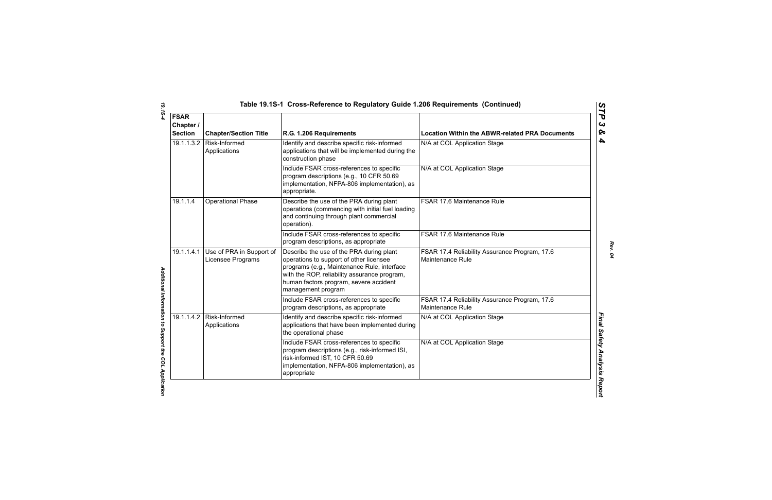| <b>FSAR</b><br>Chapter /<br><b>Section</b> | <b>Chapter/Section Title</b>                  | R.G. 1.206 Requirements                                                                                                                                                                                                                            | <b>Location Within the ABWR-related PRA Documents</b>             |
|--------------------------------------------|-----------------------------------------------|----------------------------------------------------------------------------------------------------------------------------------------------------------------------------------------------------------------------------------------------------|-------------------------------------------------------------------|
| 19.1.1.3.2                                 | Risk-Informed<br>Applications                 | Identify and describe specific risk-informed<br>applications that will be implemented during the<br>construction phase                                                                                                                             | N/A at COL Application Stage                                      |
|                                            |                                               | Include FSAR cross-references to specific<br>program descriptions (e.g., 10 CFR 50.69<br>implementation, NFPA-806 implementation), as<br>appropriate.                                                                                              | N/A at COL Application Stage                                      |
| 19.1.1.4                                   | <b>Operational Phase</b>                      | Describe the use of the PRA during plant<br>operations (commencing with initial fuel loading<br>and continuing through plant commercial<br>operation).                                                                                             | FSAR 17.6 Maintenance Rule                                        |
|                                            |                                               | Include FSAR cross-references to specific<br>program descriptions, as appropriate                                                                                                                                                                  | FSAR 17.6 Maintenance Rule                                        |
| 19.1.1.4.1                                 | Use of PRA in Support of<br>Licensee Programs | Describe the use of the PRA during plant<br>operations to support of other licensee<br>programs (e.g., Maintenance Rule, interface<br>with the ROP, reliability assurance program,<br>human factors program, severe accident<br>management program | FSAR 17.4 Reliability Assurance Program, 17.6<br>Maintenance Rule |
|                                            |                                               | Include FSAR cross-references to specific<br>program descriptions, as appropriate                                                                                                                                                                  | FSAR 17.4 Reliability Assurance Program, 17.6<br>Maintenance Rule |
| 19.1.1.4.2                                 | Risk-Informed<br>Applications                 | Identify and describe specific risk-informed<br>applications that have been implemented during<br>the operational phase                                                                                                                            | N/A at COL Application Stage                                      |
|                                            |                                               | Include FSAR cross-references to specific<br>program descriptions (e.g., risk-informed ISI,<br>risk-informed IST, 10 CFR 50.69<br>implementation, NFPA-806 implementation), as<br>appropriate                                                      | N/A at COL Application Stage                                      |

*STP 3 & 4*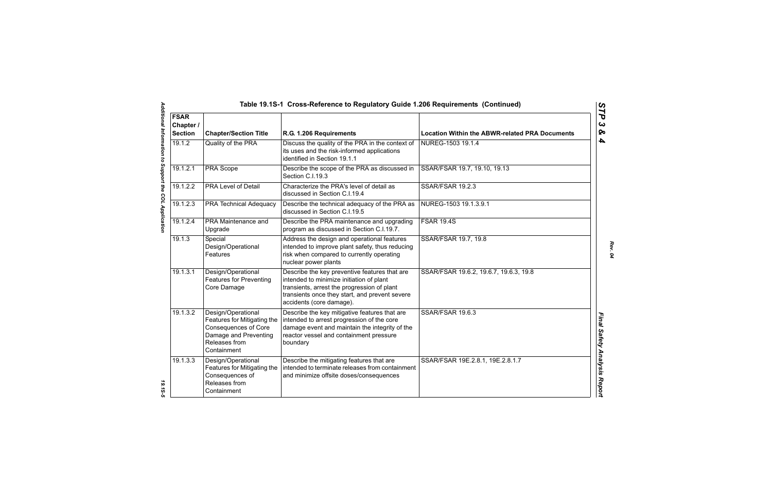| Table 19.1S-1 Cross-Reference to Regulatory Guide 1.206 Requirements (Continued) |                                                                                                                                           |                                                                                                                                                                                                                        |                                                       |
|----------------------------------------------------------------------------------|-------------------------------------------------------------------------------------------------------------------------------------------|------------------------------------------------------------------------------------------------------------------------------------------------------------------------------------------------------------------------|-------------------------------------------------------|
| <b>FSAR</b><br>Chapter /<br><b>Section</b>                                       | <b>Chapter/Section Title</b>                                                                                                              | R.G. 1.206 Requirements                                                                                                                                                                                                | <b>Location Within the ABWR-related PRA Documents</b> |
| 19.1.2                                                                           | Quality of the PRA                                                                                                                        | Discuss the quality of the PRA in the context of<br>its uses and the risk-informed applications<br>identified in Section 19.1.1                                                                                        | NUREG-1503 19.1.4                                     |
| 19.1.2.1                                                                         | PRA Scope                                                                                                                                 | Describe the scope of the PRA as discussed in<br>Section C.I.19.3                                                                                                                                                      | SSAR/FSAR 19.7, 19.10, 19.13                          |
| 19.1.2.2                                                                         | <b>PRA Level of Detail</b>                                                                                                                | Characterize the PRA's level of detail as<br>discussed in Section C.I.19.4                                                                                                                                             | <b>SSAR/FSAR 19.2.3</b>                               |
| 19.1.2.3                                                                         | <b>PRA Technical Adequacy</b>                                                                                                             | Describe the technical adequacy of the PRA as<br>discussed in Section C.I.19.5                                                                                                                                         | NUREG-1503 19.1.3.9.1                                 |
| 19.1.2.4                                                                         | PRA Maintenance and<br>Upgrade                                                                                                            | Describe the PRA maintenance and upgrading<br>program as discussed in Section C.I.19.7.                                                                                                                                | <b>FSAR 19.4S</b>                                     |
| 19.1.3                                                                           | Special<br>Design/Operational<br>Features                                                                                                 | Address the design and operational features<br>intended to improve plant safety, thus reducing<br>risk when compared to currently operating<br>nuclear power plants                                                    | SSAR/FSAR 19.7, 19.8                                  |
| 19.1.3.1                                                                         | Design/Operational<br><b>Features for Preventing</b><br>Core Damage                                                                       | Describe the key preventive features that are<br>intended to minimize initiation of plant<br>transients, arrest the progression of plant<br>transients once they start, and prevent severe<br>accidents (core damage). | SSAR/FSAR 19.6.2, 19.6.7, 19.6.3, 19.8                |
| 19.1.3.2                                                                         | Design/Operational<br>Features for Mitigating the<br><b>Consequences of Core</b><br>Damage and Preventing<br>Releases from<br>Containment | Describe the key mitigative features that are<br>intended to arrest progression of the core<br>damage event and maintain the integrity of the<br>reactor vessel and containment pressure<br>boundary                   | SSAR/FSAR 19.6.3                                      |
| 19.1.3.3                                                                         | Design/Operational<br>Features for Mitigating the<br>Consequences of<br>Releases from<br>Containment                                      | Describe the mitigating features that are<br>intended to terminate releases from containment<br>and minimize offsite doses/consequences                                                                                | SSAR/FSAR 19E.2.8.1, 19E.2.8.1.7                      |

*STP 3 & 4*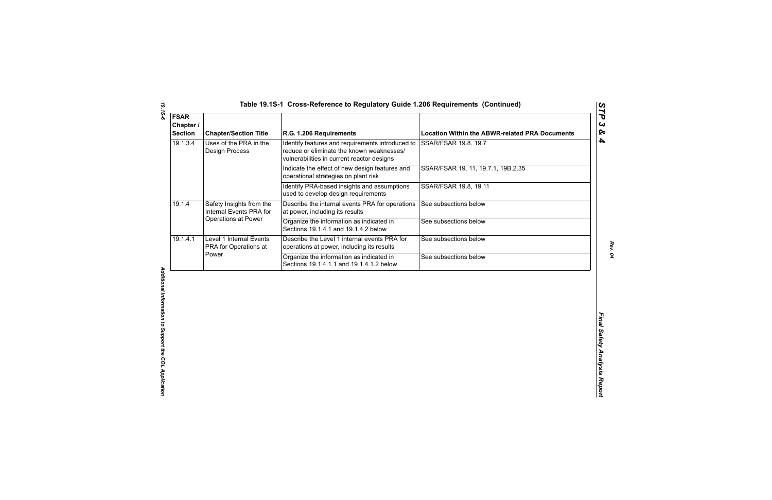| <b>Chapter/Section Title</b>                              | R.G. 1.206 Requirements                                                                                                                     | <b>Location Within the ABWR-related PRA Documents</b> |
|-----------------------------------------------------------|---------------------------------------------------------------------------------------------------------------------------------------------|-------------------------------------------------------|
| Uses of the PRA in the<br>Design Process                  | Identify features and requirements introduced to<br>reduce or eliminate the known weaknesses/<br>vulnerabilities in current reactor designs | SSAR/FSAR 19.8. 19.7                                  |
|                                                           | Indicate the effect of new design features and<br>operational strategies on plant risk                                                      | SSAR/FSAR 19. 11, 19.7.1, 19B.2.35                    |
|                                                           | Identify PRA-based insights and assumptions<br>used to develop design requirements                                                          | SSAR/FSAR 19.8, 19.11                                 |
| Safety Insights from the<br>Internal Events PRA for       | Describe the internal events PRA for operations<br>at power, including its results                                                          | See subsections below                                 |
| Operations at Power                                       | Organize the information as indicated in<br>Sections 19.1.4.1 and 19.1.4.2 below                                                            | See subsections below                                 |
| Level 1 Internal Events<br>PRA for Operations at<br>Power | Describe the Level 1 internal events PRA for<br>operations at power, including its results                                                  | See subsections below                                 |
|                                                           | Organize the information as indicated in<br>Sections 19.1.4.1.1 and 19.1.4.1.2 below                                                        | See subsections below                                 |
|                                                           |                                                                                                                                             |                                                       |
|                                                           |                                                                                                                                             |                                                       |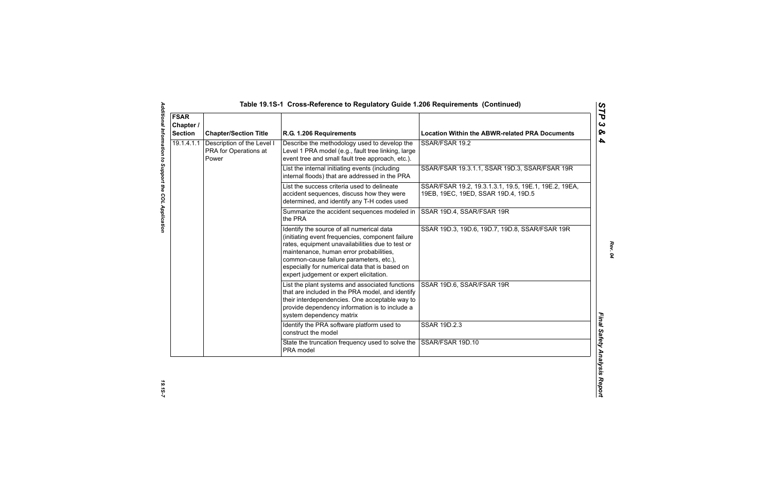| <b>FSAR</b><br>Chapter /<br><b>Section</b> | <b>Chapter/Section Title</b>                        | R.G. 1.206 Requirements                                                                                                                                                                                                                                                                                                              | <b>Location Within the ABWR-related PRA Documents</b>                                        |
|--------------------------------------------|-----------------------------------------------------|--------------------------------------------------------------------------------------------------------------------------------------------------------------------------------------------------------------------------------------------------------------------------------------------------------------------------------------|----------------------------------------------------------------------------------------------|
| 19.1.4.1.1<br>Power                        | Description of the Level I<br>PRA for Operations at | Describe the methodology used to develop the<br>Level 1 PRA model (e.g., fault tree linking, large<br>event tree and small fault tree approach, etc.).                                                                                                                                                                               | SSAR/FSAR 19.2                                                                               |
|                                            |                                                     | List the internal initiating events (including<br>internal floods) that are addressed in the PRA                                                                                                                                                                                                                                     | SSAR/FSAR 19.3.1.1, SSAR 19D.3, SSAR/FSAR 19R                                                |
|                                            |                                                     | List the success criteria used to delineate<br>accident sequences, discuss how they were<br>determined, and identify any T-H codes used                                                                                                                                                                                              | SSAR/FSAR 19.2, 19.3.1.3.1, 19.5, 19E.1, 19E.2, 19EA,<br>19EB, 19EC, 19ED, SSAR 19D.4, 19D.5 |
|                                            |                                                     | Summarize the accident sequences modeled in<br>the PRA                                                                                                                                                                                                                                                                               | SSAR 19D.4, SSAR/FSAR 19R                                                                    |
|                                            |                                                     | Identify the source of all numerical data<br>(initiating event frequencies, component failure<br>rates, equipment unavailabilities due to test or<br>maintenance, human error probabilities,<br>common-cause failure parameters, etc.),<br>especially for numerical data that is based on<br>expert judgement or expert elicitation. | SSAR 19D.3, 19D.6, 19D.7, 19D.8, SSAR/FSAR 19R                                               |
|                                            |                                                     | List the plant systems and associated functions<br>that are included in the PRA model, and identify<br>their interdependencies. One acceptable way to<br>provide dependency information is to include a<br>system dependency matrix                                                                                                  | SSAR 19D.6, SSAR/FSAR 19R                                                                    |
|                                            |                                                     | Identify the PRA software platform used to<br>construct the model                                                                                                                                                                                                                                                                    | SSAR 19D.2.3                                                                                 |
|                                            |                                                     | State the truncation frequency used to solve the<br>PRA model                                                                                                                                                                                                                                                                        | SSAR/FSAR 19D.10                                                                             |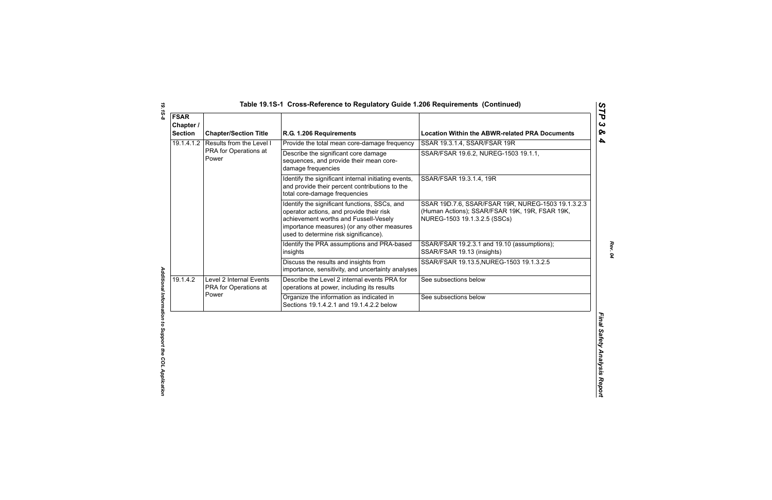| <b>FSAR</b><br>Chapter /<br><b>Section</b> | <b>Chapter/Section Title</b>                                                                                                                                            | R.G. 1.206 Requirements                                                                                                                                                                                                    | <b>Location Within the ABWR-related PRA Documents</b>                                                                                |
|--------------------------------------------|-------------------------------------------------------------------------------------------------------------------------------------------------------------------------|----------------------------------------------------------------------------------------------------------------------------------------------------------------------------------------------------------------------------|--------------------------------------------------------------------------------------------------------------------------------------|
| 19.1.4.1.2                                 | Results from the Level I<br>PRA for Operations at<br>Power                                                                                                              | Provide the total mean core-damage frequency                                                                                                                                                                               | SSAR 19.3.1.4, SSAR/FSAR 19R                                                                                                         |
|                                            |                                                                                                                                                                         | Describe the significant core damage<br>sequences, and provide their mean core-<br>damage frequencies                                                                                                                      | SSAR/FSAR 19.6.2, NUREG-1503 19.1.1,                                                                                                 |
|                                            |                                                                                                                                                                         | Identify the significant internal initiating events,<br>and provide their percent contributions to the<br>total core-damage frequencies                                                                                    | SSAR/FSAR 19.3.1.4, 19R                                                                                                              |
|                                            |                                                                                                                                                                         | Identify the significant functions, SSCs, and<br>operator actions, and provide their risk<br>achievement worths and Fussell-Vesely<br>importance measures) (or any other measures<br>used to determine risk significance). | SSAR 19D.7.6, SSAR/FSAR 19R, NUREG-1503 19.1.3.2.3<br>(Human Actions); SSAR/FSAR 19K, 19R, FSAR 19K,<br>NUREG-1503 19.1.3.2.5 (SSCs) |
|                                            |                                                                                                                                                                         | Identify the PRA assumptions and PRA-based<br>insights                                                                                                                                                                     | SSAR/FSAR 19.2.3.1 and 19.10 (assumptions);<br>SSAR/FSAR 19.13 (insights)                                                            |
|                                            |                                                                                                                                                                         | Discuss the results and insights from<br>importance, sensitivity, and uncertainty analyses                                                                                                                                 | SSAR/FSAR 19.13.5, NUREG-1503 19.1.3.2.5                                                                                             |
| 19.1.4.2                                   | Describe the Level 2 internal events PRA for<br>Level 2 Internal Events<br>See subsections below<br>PRA for Operations at<br>operations at power, including its results |                                                                                                                                                                                                                            |                                                                                                                                      |
|                                            | Power                                                                                                                                                                   | Organize the information as indicated in<br>Sections 19.1.4.2.1 and 19.1.4.2.2 below                                                                                                                                       | See subsections below                                                                                                                |
|                                            |                                                                                                                                                                         |                                                                                                                                                                                                                            |                                                                                                                                      |

*STP 3 & 4*

*19.1S-8 Additional Information to Support the COL Application*  Additional Information to Support the COL Application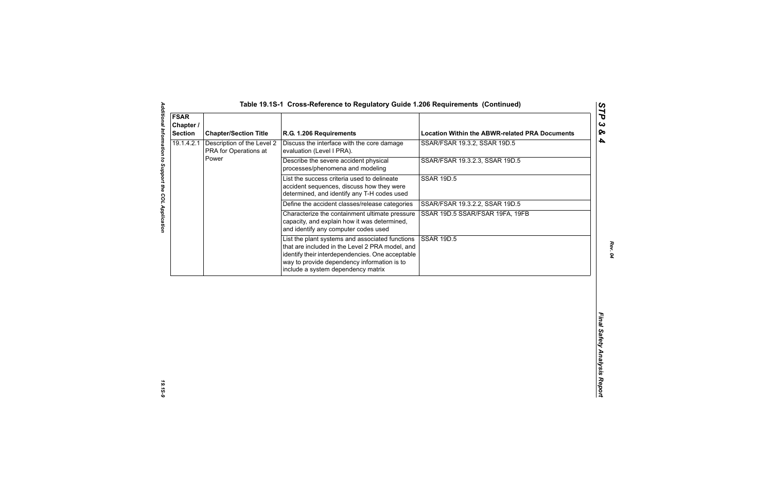| <b>Section</b> | <b>Chapter/Section Title</b>                        | R.G. 1.206 Requirements                                                                                                                                                                                                                     | <b>Location Within the ABWR-related PRA Documents</b> |
|----------------|-----------------------------------------------------|---------------------------------------------------------------------------------------------------------------------------------------------------------------------------------------------------------------------------------------------|-------------------------------------------------------|
| 19.1.4.2.1     | Description of the Level 2<br>PRA for Operations at | Discuss the interface with the core damage<br>evaluation (Level I PRA).                                                                                                                                                                     | SSAR/FSAR 19.3.2, SSAR 19D.5                          |
|                | Power                                               | Describe the severe accident physical<br>processes/phenomena and modeling                                                                                                                                                                   | SSAR/FSAR 19.3.2.3, SSAR 19D.5                        |
|                |                                                     | List the success criteria used to delineate<br>accident sequences, discuss how they were<br>determined, and identify any T-H codes used                                                                                                     | <b>SSAR 19D.5</b>                                     |
|                |                                                     | Define the accident classes/release categories                                                                                                                                                                                              | SSAR/FSAR 19.3.2.2, SSAR 19D.5                        |
|                |                                                     | Characterize the containment ultimate pressure<br>capacity, and explain how it was determined,<br>and identify any computer codes used                                                                                                      | SSAR 19D.5 SSAR/FSAR 19FA, 19FB                       |
|                |                                                     | List the plant systems and associated functions<br>that are included in the Level 2 PRA model, and<br>identify their interdependencies. One acceptable<br>way to provide dependency information is to<br>include a system dependency matrix | <b>SSAR 19D.5</b>                                     |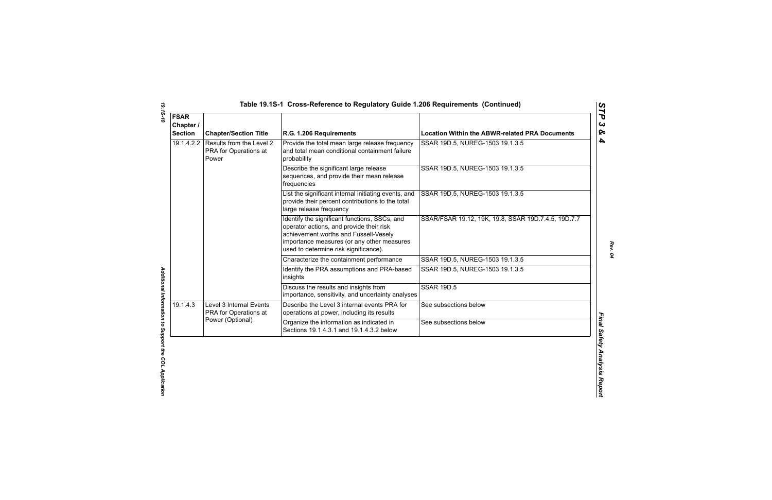| <b>FSAR</b><br>Chapter /<br><b>Section</b> | <b>Chapter/Section Title</b>                               | R.G. 1.206 Requirements                                                                                                                                                                                                   | <b>Location Within the ABWR-related PRA Documents</b> |
|--------------------------------------------|------------------------------------------------------------|---------------------------------------------------------------------------------------------------------------------------------------------------------------------------------------------------------------------------|-------------------------------------------------------|
| 19.1.4.2.2                                 | Results from the Level 2<br>PRA for Operations at<br>Power | Provide the total mean large release frequency<br>and total mean conditional containment failure<br>probability                                                                                                           | SSAR 19D.5, NUREG-1503 19.1.3.5                       |
|                                            |                                                            | Describe the significant large release<br>sequences, and provide their mean release<br>frequencies                                                                                                                        | SSAR 19D.5, NUREG-1503 19.1.3.5                       |
|                                            |                                                            | List the significant internal initiating events, and<br>provide their percent contributions to the total<br>large release frequency                                                                                       | SSAR 19D.5, NUREG-1503 19.1.3.5                       |
|                                            |                                                            | Identify the significant functions, SSCs, and<br>operator actions, and provide their risk<br>achievement worths and Fussell-Vesely<br>importance measures (or any other measures<br>used to determine risk significance). | SSAR/FSAR 19.12, 19K, 19.8, SSAR 19D.7.4.5, 19D.7.7   |
|                                            |                                                            | Characterize the containment performance                                                                                                                                                                                  | SSAR 19D.5, NUREG-1503 19.1.3.5                       |
|                                            |                                                            | Identify the PRA assumptions and PRA-based<br>insights                                                                                                                                                                    | SSAR 19D.5, NUREG-1503 19.1.3.5                       |
|                                            |                                                            | Discuss the results and insights from<br>importance, sensitivity, and uncertainty analyses                                                                                                                                | <b>SSAR 19D.5</b>                                     |
| 19.1.4.3                                   | Level 3 Internal Events<br>PRA for Operations at           | Describe the Level 3 internal events PRA for<br>operations at power, including its results                                                                                                                                | See subsections below                                 |
|                                            | Power (Optional)                                           | Organize the information as indicated in<br>Sections 19.1.4.3.1 and 19.1.4.3.2 below                                                                                                                                      | See subsections below                                 |

*STP 3 & 4*

*19.1S-10 Additional Information to Support the COL Application*  Additional Information to Support the COL Application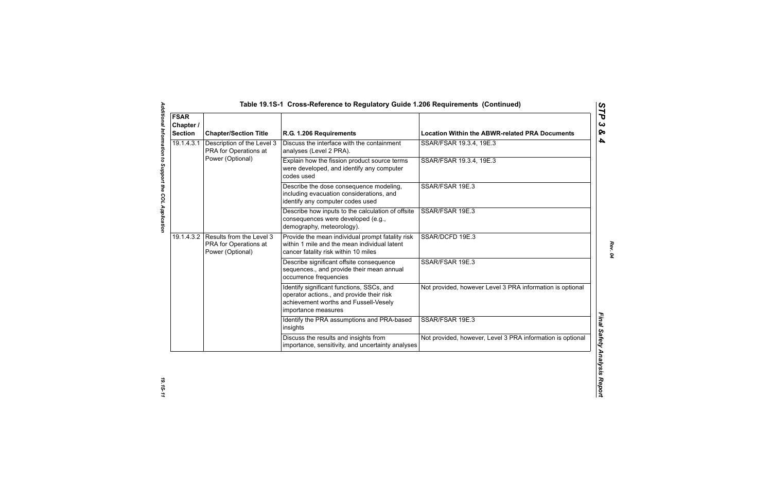| <b>FSAR</b><br>Chapter /<br><b>Section</b> | <b>Chapter/Section Title</b>                                                     | R.G. 1.206 Requirements                                                                                                                                | <b>Location Within the ABWR-related PRA Documents</b>      |
|--------------------------------------------|----------------------------------------------------------------------------------|--------------------------------------------------------------------------------------------------------------------------------------------------------|------------------------------------------------------------|
| 19.1.4.3.1                                 | Description of the Level 3<br>PRA for Operations at                              | Discuss the interface with the containment<br>analyses (Level 2 PRA).                                                                                  | SSAR/FSAR 19.3.4, 19E.3                                    |
|                                            | Power (Optional)                                                                 | Explain how the fission product source terms<br>were developed, and identify any computer<br>codes used                                                | SSAR/FSAR 19.3.4, 19E.3                                    |
|                                            |                                                                                  | Describe the dose consequence modeling,<br>including evacuation considerations, and<br>identify any computer codes used                                | SSAR/FSAR 19E.3                                            |
|                                            |                                                                                  | Describe how inputs to the calculation of offsite<br>consequences were developed (e.g.,<br>demography, meteorology).                                   | SSAR/FSAR 19E.3                                            |
|                                            | 19.1.4.3.2 Results from the Level 3<br>PRA for Operations at<br>Power (Optional) | Provide the mean individual prompt fatality risk<br>within 1 mile and the mean individual latent<br>cancer fatality risk within 10 miles               | SSAR/DCFD 19E.3                                            |
|                                            |                                                                                  | Describe significant offsite consequence<br>sequences., and provide their mean annual<br>occurrence frequencies                                        | SSAR/FSAR 19E.3                                            |
|                                            |                                                                                  | Identify significant functions, SSCs, and<br>operator actions., and provide their risk<br>achievement worths and Fussell-Vesely<br>importance measures | Not provided, however Level 3 PRA information is optional  |
|                                            |                                                                                  | Identify the PRA assumptions and PRA-based<br>insights                                                                                                 | SSAR/FSAR 19E.3                                            |
|                                            |                                                                                  | Discuss the results and insights from<br>importance, sensitivity, and uncertainty analyses                                                             | Not provided, however, Level 3 PRA information is optional |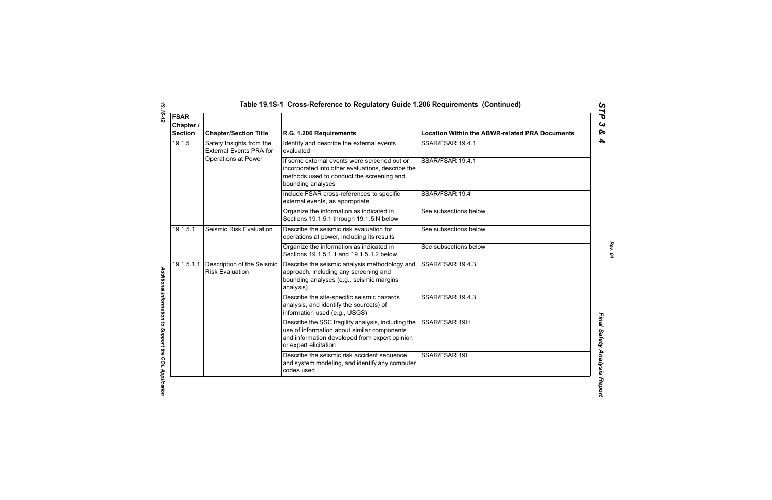| Table 19.1S-1  Cross-Reference to Regulatory Guide 1.206 Requirements  (Continuec |  |  |
|-----------------------------------------------------------------------------------|--|--|
|-----------------------------------------------------------------------------------|--|--|

| <b>FSAR</b><br>Chapter /<br><b>Section</b>                                                         | <b>Chapter/Section Title</b>                           | R.G. 1.206 Requirements                                                                                                                                                     | <b>Location Within the ABWR-related PRA Documents</b> |
|----------------------------------------------------------------------------------------------------|--------------------------------------------------------|-----------------------------------------------------------------------------------------------------------------------------------------------------------------------------|-------------------------------------------------------|
| 19.1.5<br>Safety Insights from the<br><b>External Events PRA for</b><br><b>Operations at Power</b> | Identify and describe the external events<br>evaluated | SSAR/FSAR 19.4.1                                                                                                                                                            |                                                       |
|                                                                                                    |                                                        | If some external events were screened out or<br>incorporated into other evaluations, describe the<br>methods used to conduct the screening and<br>bounding analyses         | SSAR/FSAR 19.4.1                                      |
|                                                                                                    |                                                        | Include FSAR cross-references to specific<br>external events, as appropriate                                                                                                | SSAR/FSAR 19.4                                        |
|                                                                                                    |                                                        | Organize the information as indicated in<br>Sections 19.1.5.1 through 19.1.5.N below                                                                                        | See subsections below                                 |
| 19.1.5.1                                                                                           | Seismic Risk Evaluation                                | Describe the seismic risk evaluation for<br>operations at power, including its results                                                                                      | See subsections below                                 |
|                                                                                                    |                                                        | Organize the information as indicated in<br>Sections 19.1.5.1.1 and 19.1.5.1.2 below                                                                                        | See subsections below                                 |
| 19.1.5.1.1                                                                                         | Description of the Seismic<br><b>Risk Evaluation</b>   | Describe the seismic analysis methodology and<br>approach, including any screening and<br>bounding analyses (e.g., seismic margins<br>analysis).                            | SSAR/FSAR 19.4.3                                      |
|                                                                                                    |                                                        | Describe the site-specific seismic hazards<br>analysis, and identify the source(s) of<br>information used (e.g., USGS)                                                      | SSAR/FSAR 19.4.3                                      |
|                                                                                                    |                                                        | Describe the SSC fragility analysis, including the<br>use of information about similar components<br>and information developed from expert opinion<br>or expert elicitation | SSAR/FSAR 19H                                         |
|                                                                                                    |                                                        | Describe the seismic risk accident sequence<br>and system modeling, and identify any computer<br>codes used                                                                 | SSAR/FSAR 19I                                         |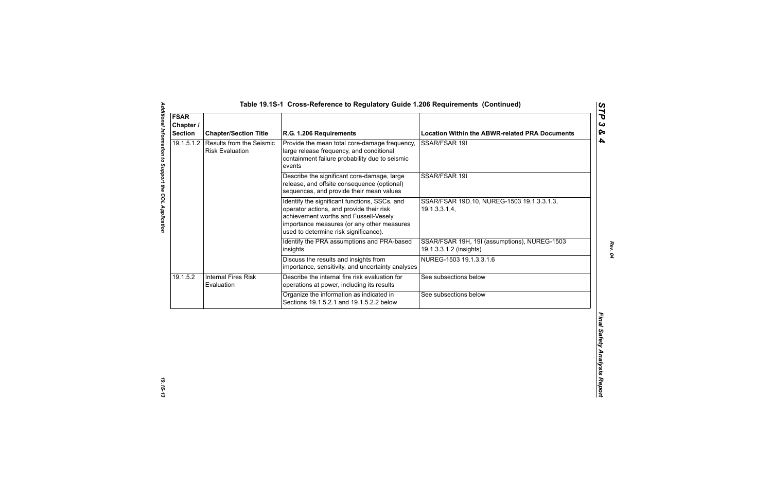| <b>FSAR</b><br>Chapter /<br><b>Section</b> | <b>Chapter/Section Title</b>                              | R.G. 1.206 Requirements                                                                                                                                                                                                   | <b>Location Within the ABWR-related PRA Documents</b>                   |
|--------------------------------------------|-----------------------------------------------------------|---------------------------------------------------------------------------------------------------------------------------------------------------------------------------------------------------------------------------|-------------------------------------------------------------------------|
| 19.1.5.1.2                                 | <b>Results from the Seismic</b><br><b>Risk Evaluation</b> | Provide the mean total core-damage frequency,<br>large release frequency, and conditional<br>containment failure probability due to seismic<br>events                                                                     | SSAR/FSAR 19I                                                           |
|                                            |                                                           | Describe the significant core-damage, large<br>release, and offsite consequence (optional)<br>sequences, and provide their mean values                                                                                    | SSAR/FSAR 19I                                                           |
|                                            |                                                           | Identify the significant functions, SSCs, and<br>operator actions, and provide their risk<br>achievement worths and Fussell-Vesely<br>importance measures (or any other measures<br>used to determine risk significance). | SSAR/FSAR 19D.10, NUREG-1503 19.1.3.3.1.3,<br>19.1.3.3.1.4,             |
|                                            |                                                           | Identify the PRA assumptions and PRA-based<br>insights                                                                                                                                                                    | SSAR/FSAR 19H, 19I (assumptions), NUREG-1503<br>19.1.3.3.1.2 (insights) |
|                                            |                                                           | Discuss the results and insights from<br>importance, sensitivity, and uncertainty analyses                                                                                                                                | NUREG-1503 19.1.3.3.1.6                                                 |
| 19.1.5.2                                   | <b>Internal Fires Risk</b><br>Evaluation                  | Describe the internal fire risk evaluation for<br>operations at power, including its results                                                                                                                              | See subsections below                                                   |
|                                            |                                                           | Organize the information as indicated in<br>Sections 19.1.5.2.1 and 19.1.5.2.2 below                                                                                                                                      | See subsections below                                                   |
|                                            |                                                           |                                                                                                                                                                                                                           |                                                                         |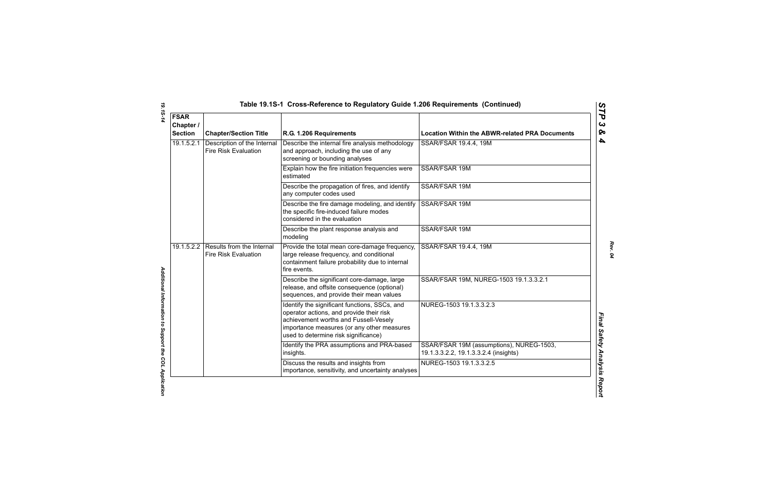|  | Table 19.1S-1 Cross-Reference to Regulatory Guide 1.206 Requirements (Continued) |  |
|--|----------------------------------------------------------------------------------|--|
|--|----------------------------------------------------------------------------------|--|

| <b>FSAR</b><br>Chapter /<br><b>Section</b> | <b>Chapter/Section Title</b>                               | R.G. 1.206 Requirements                                                                                                                                                                                                  | <b>Location Within the ABWR-related PRA Documents</b>                             |
|--------------------------------------------|------------------------------------------------------------|--------------------------------------------------------------------------------------------------------------------------------------------------------------------------------------------------------------------------|-----------------------------------------------------------------------------------|
| 19.1.5.2.1                                 | Description of the Internal<br><b>Fire Risk Evaluation</b> | Describe the internal fire analysis methodology<br>and approach, including the use of any<br>screening or bounding analyses                                                                                              | SSAR/FSAR 19.4.4, 19M                                                             |
|                                            |                                                            | Explain how the fire initiation frequencies were<br>estimated                                                                                                                                                            | SSAR/FSAR 19M                                                                     |
|                                            |                                                            | Describe the propagation of fires, and identify<br>any computer codes used                                                                                                                                               | <b>SSAR/FSAR 19M</b>                                                              |
|                                            |                                                            | Describe the fire damage modeling, and identify<br>the specific fire-induced failure modes<br>considered in the evaluation                                                                                               | SSAR/FSAR 19M                                                                     |
|                                            |                                                            | Describe the plant response analysis and<br>modeling                                                                                                                                                                     | SSAR/FSAR 19M                                                                     |
| 19.1.5.2.2                                 | Results from the Internal<br><b>Fire Risk Evaluation</b>   | Provide the total mean core-damage frequency,<br>large release frequency, and conditional<br>containment failure probability due to internal<br>fire events.                                                             | SSAR/FSAR 19.4.4, 19M                                                             |
|                                            |                                                            | Describe the significant core-damage, large<br>release, and offsite consequence (optional)<br>sequences, and provide their mean values                                                                                   | SSAR/FSAR 19M, NUREG-1503 19.1.3.3.2.1                                            |
|                                            |                                                            | Identify the significant functions, SSCs, and<br>operator actions, and provide their risk<br>achievement worths and Fussell-Vesely<br>importance measures (or any other measures<br>used to determine risk significance) | NUREG-1503 19.1.3.3.2.3                                                           |
|                                            |                                                            | Identify the PRA assumptions and PRA-based<br>insights.                                                                                                                                                                  | SSAR/FSAR 19M (assumptions), NUREG-1503,<br>19.1.3.3.2.2, 19.1.3.3.2.4 (insights) |
|                                            |                                                            | Discuss the results and insights from<br>importance, sensitivity, and uncertainty analyses                                                                                                                               | NUREG-1503 19.1.3.3.2.5                                                           |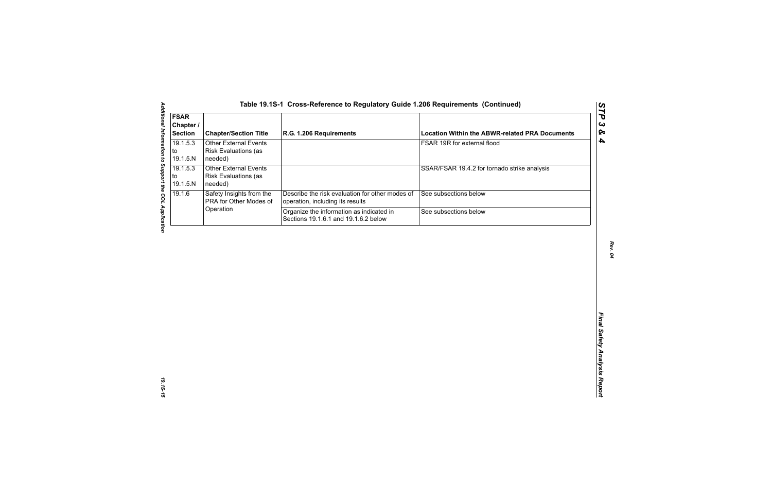| <b>FSAR</b><br>Chapter /<br><b>Section</b> | <b>Chapter/Section Title</b>                                           | R.G. 1.206 Requirements                                                             | <b>Location Within the ABWR-related PRA Documents</b> |
|--------------------------------------------|------------------------------------------------------------------------|-------------------------------------------------------------------------------------|-------------------------------------------------------|
| 19.1.5.3<br>to<br>19.1.5.N                 | <b>Other External Events</b><br>Risk Evaluations (as<br>needed)        |                                                                                     | FSAR 19R for external flood                           |
| 19.1.5.3<br>to<br>19.1.5.N                 | <b>Other External Events</b><br><b>Risk Evaluations (as</b><br>needed) |                                                                                     | SSAR/FSAR 19.4.2 for tornado strike analysis          |
| 19.1.6                                     | Safety Insights from the<br>PRA for Other Modes of                     | Describe the risk evaluation for other modes of<br>operation, including its results | See subsections below                                 |
|                                            | Operation                                                              | Organize the information as indicated in<br>Sections 19.1.6.1 and 19.1.6.2 below    | See subsections below                                 |
|                                            |                                                                        |                                                                                     |                                                       |
|                                            |                                                                        |                                                                                     |                                                       |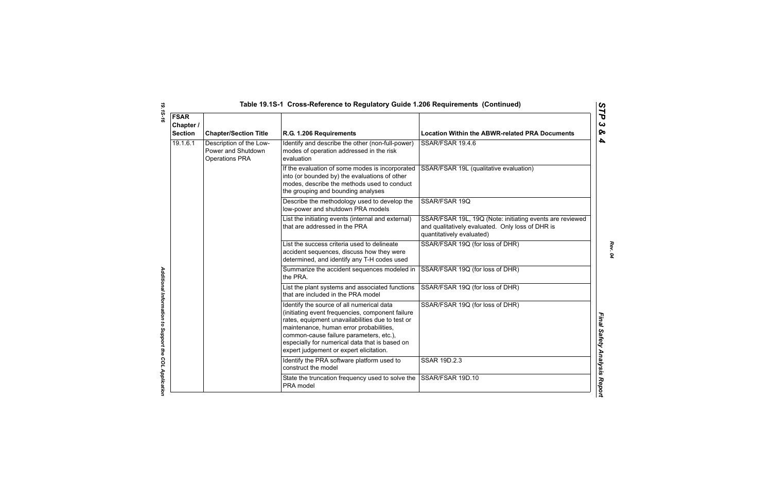| <b>FSAR</b><br>Chapter /<br><b>Section</b> | <b>Chapter/Section Title</b>                                           | R.G. 1.206 Requirements                                                                                                                                                                                                                                                                                                              | <b>Location Within the ABWR-related PRA Documents</b>                                                                                     |
|--------------------------------------------|------------------------------------------------------------------------|--------------------------------------------------------------------------------------------------------------------------------------------------------------------------------------------------------------------------------------------------------------------------------------------------------------------------------------|-------------------------------------------------------------------------------------------------------------------------------------------|
| 19.1.6.1                                   | Description of the Low-<br>Power and Shutdown<br><b>Operations PRA</b> | Identify and describe the other (non-full-power)<br>modes of operation addressed in the risk<br>evaluation                                                                                                                                                                                                                           | SSAR/FSAR 19.4.6                                                                                                                          |
|                                            |                                                                        | If the evaluation of some modes is incorporated<br>into (or bounded by) the evaluations of other<br>modes, describe the methods used to conduct<br>the grouping and bounding analyses                                                                                                                                                | SSAR/FSAR 19L (qualitative evaluation)                                                                                                    |
|                                            |                                                                        | Describe the methodology used to develop the<br>low-power and shutdown PRA models                                                                                                                                                                                                                                                    | SSAR/FSAR 19Q                                                                                                                             |
|                                            |                                                                        | List the initiating events (internal and external)<br>that are addressed in the PRA                                                                                                                                                                                                                                                  | SSAR/FSAR 19L, 19Q (Note: initiating events are reviewed<br>and qualitatively evaluated. Only loss of DHR is<br>quantitatively evaluated) |
|                                            |                                                                        | List the success criteria used to delineate<br>accident sequences, discuss how they were<br>determined, and identify any T-H codes used                                                                                                                                                                                              | SSAR/FSAR 19Q (for loss of DHR)                                                                                                           |
|                                            |                                                                        | Summarize the accident sequences modeled in<br>the PRA.                                                                                                                                                                                                                                                                              | SSAR/FSAR 19Q (for loss of DHR)                                                                                                           |
|                                            |                                                                        | List the plant systems and associated functions<br>that are included in the PRA model                                                                                                                                                                                                                                                | SSAR/FSAR 19Q (for loss of DHR)                                                                                                           |
|                                            |                                                                        | Identify the source of all numerical data<br>(initiating event frequencies, component failure<br>rates, equipment unavailabilities due to test or<br>maintenance, human error probabilities,<br>common-cause failure parameters, etc.),<br>especially for numerical data that is based on<br>expert judgement or expert elicitation. | SSAR/FSAR 19Q (for loss of DHR)                                                                                                           |
|                                            |                                                                        | Identify the PRA software platform used to<br>construct the model                                                                                                                                                                                                                                                                    | <b>SSAR 19D.2.3</b>                                                                                                                       |
|                                            |                                                                        | State the truncation frequency used to solve the SSAR/FSAR 19D.10<br>PRA model                                                                                                                                                                                                                                                       |                                                                                                                                           |

*19.1S-16 Additional Information to Support the COL Application*  Additional Information to Support the COL Application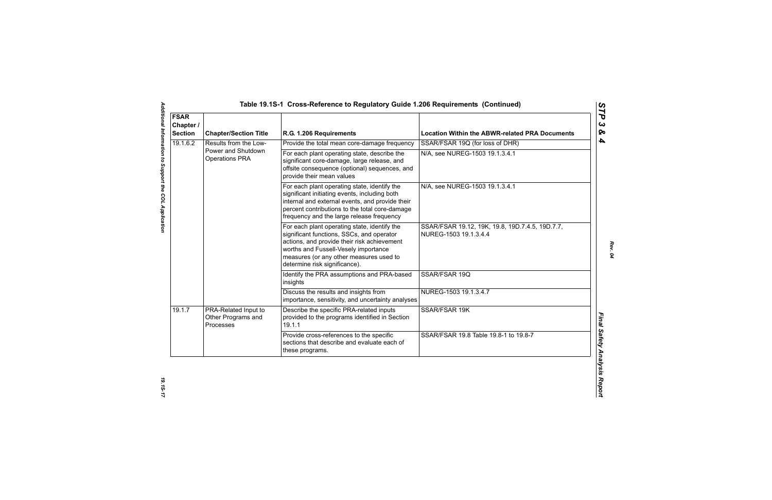| <b>FSAR</b><br>Chapter /<br><b>Section</b> | <b>Chapter/Section Title</b>                            | R.G. 1.206 Requirements                                                                                                                                                                                                                                      | <b>Location Within the ABWR-related PRA Documents</b>                    |
|--------------------------------------------|---------------------------------------------------------|--------------------------------------------------------------------------------------------------------------------------------------------------------------------------------------------------------------------------------------------------------------|--------------------------------------------------------------------------|
| 19.1.6.2                                   | Results from the Low-                                   | Provide the total mean core-damage frequency                                                                                                                                                                                                                 | SSAR/FSAR 19Q (for loss of DHR)                                          |
|                                            | Power and Shutdown<br><b>Operations PRA</b>             | For each plant operating state, describe the<br>significant core-damage, large release, and<br>offsite consequence (optional) sequences, and<br>provide their mean values                                                                                    | N/A, see NUREG-1503 19.1.3.4.1                                           |
|                                            |                                                         | For each plant operating state, identify the<br>significant initiating events, including both<br>internal and external events, and provide their<br>percent contributions to the total core-damage<br>frequency and the large release frequency              | N/A, see NUREG-1503 19.1.3.4.1                                           |
|                                            |                                                         | For each plant operating state, identify the<br>significant functions, SSCs, and operator<br>actions, and provide their risk achievement<br>worths and Fussell-Vesely importance<br>measures (or any other measures used to<br>determine risk significance). | SSAR/FSAR 19.12, 19K, 19.8, 19D.7.4.5, 19D.7.7,<br>NUREG-1503 19.1.3.4.4 |
|                                            |                                                         | Identify the PRA assumptions and PRA-based<br>insights                                                                                                                                                                                                       | SSAR/FSAR 19Q                                                            |
|                                            |                                                         | Discuss the results and insights from<br>importance, sensitivity, and uncertainty analyses                                                                                                                                                                   | NUREG-1503 19.1.3.4.7                                                    |
| 19.1.7                                     | PRA-Related Input to<br>Other Programs and<br>Processes | Describe the specific PRA-related inputs<br>provided to the programs identified in Section<br>19.1.1                                                                                                                                                         | SSAR/FSAR 19K                                                            |
|                                            |                                                         | Provide cross-references to the specific<br>sections that describe and evaluate each of<br>these programs.                                                                                                                                                   | SSAR/FSAR 19.8 Table 19.8-1 to 19.8-7                                    |

*Additional Information to Support the COL Application 19.1S-17*

Additional Information to Support the COL Application

*Rev. 04*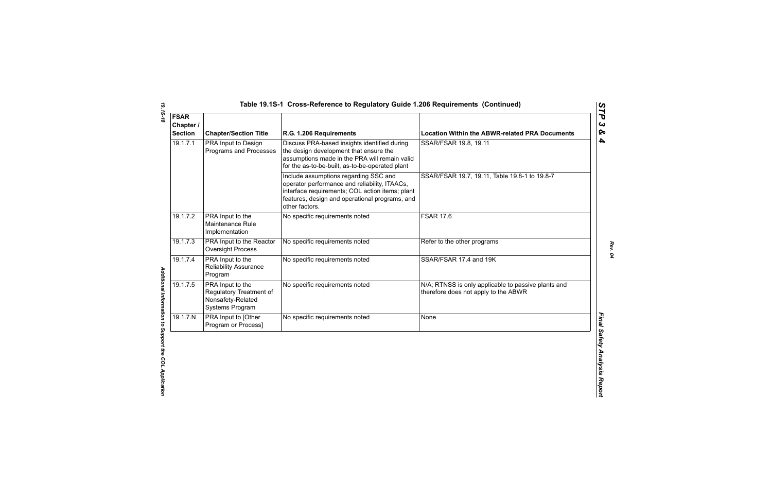| <b>FSAR</b><br>Chapter /<br><b>Section</b> | <b>Chapter/Section Title</b>                                                        | R.G. 1.206 Requirements                                                                                                                                                                                       | <b>Location Within the ABWR-related PRA Documents</b>                                       |
|--------------------------------------------|-------------------------------------------------------------------------------------|---------------------------------------------------------------------------------------------------------------------------------------------------------------------------------------------------------------|---------------------------------------------------------------------------------------------|
| 19.1.7.1                                   | PRA Input to Design<br>Programs and Processes                                       | Discuss PRA-based insights identified during<br>the design development that ensure the<br>assumptions made in the PRA will remain valid<br>for the as-to-be-built, as-to-be-operated plant                    | SSAR/FSAR 19.8, 19.11                                                                       |
|                                            |                                                                                     | Include assumptions regarding SSC and<br>operator performance and reliability, ITAACs,<br>interface requirements; COL action items; plant<br>features, design and operational programs, and<br>other factors. | SSAR/FSAR 19.7, 19.11, Table 19.8-1 to 19.8-7                                               |
| 19.1.7.2                                   | PRA Input to the<br>Maintenance Rule<br>Implementation                              | No specific requirements noted                                                                                                                                                                                | <b>FSAR 17.6</b>                                                                            |
| 19.1.7.3                                   | PRA Input to the Reactor<br><b>Oversight Process</b>                                | No specific requirements noted                                                                                                                                                                                | Refer to the other programs                                                                 |
| 19.1.7.4                                   | PRA Input to the<br><b>Reliability Assurance</b><br>Program                         | No specific requirements noted                                                                                                                                                                                | SSAR/FSAR 17.4 and 19K                                                                      |
| 19.1.7.5                                   | PRA Input to the<br>Regulatory Treatment of<br>Nonsafety-Related<br>Systems Program | No specific requirements noted                                                                                                                                                                                | N/A; RTNSS is only applicable to passive plants and<br>therefore does not apply to the ABWR |
| 19.1.7.N                                   | PRA Input to [Other<br>Program or Process]                                          | No specific requirements noted                                                                                                                                                                                | None                                                                                        |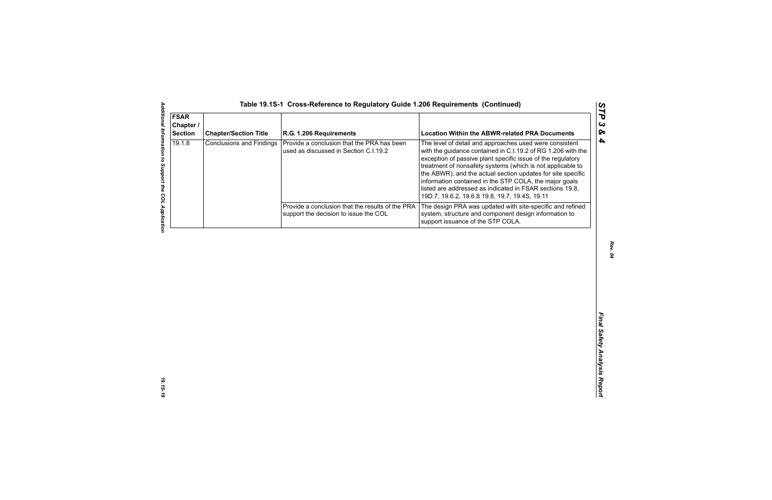| <b>FSAR</b><br>Chapter /<br><b>Section</b> | <b>Chapter/Section Title</b>    | R.G. 1.206 Requirements                                                                   | <b>Location Within the ABWR-related PRA Documents</b>                                                                                                                                                                                                                                                                                                                                                                                                                                       |
|--------------------------------------------|---------------------------------|-------------------------------------------------------------------------------------------|---------------------------------------------------------------------------------------------------------------------------------------------------------------------------------------------------------------------------------------------------------------------------------------------------------------------------------------------------------------------------------------------------------------------------------------------------------------------------------------------|
| 19.1.8                                     | <b>Conclusions and Findings</b> | Provide a conclusion that the PRA has been<br>used as discussed in Section C.I.19.2       | The level of detail and approaches used were consistent<br>with the guidance contained in C.I.19.2 of RG 1.206 with the<br>exception of passive plant specific issue of the regulatory<br>treatment of nonsafety systems (which is not applicable to<br>the ABWR), and the actual section updates for site specific<br>information contained in the STP COLA, the major goals<br>listed are addressed as indicated in FSAR sections 19.8,<br>19D.7, 19.6.2, 19.6.8 19.8, 19.7, 19.4S, 19.11 |
|                                            |                                 | Provide a conclusion that the results of the PRA<br>support the decision to issue the COL | The design PRA was updated with site-specific and refined<br>system, structure and component design information to<br>support issuance of the STP COLA.                                                                                                                                                                                                                                                                                                                                     |
|                                            |                                 |                                                                                           |                                                                                                                                                                                                                                                                                                                                                                                                                                                                                             |
|                                            |                                 |                                                                                           |                                                                                                                                                                                                                                                                                                                                                                                                                                                                                             |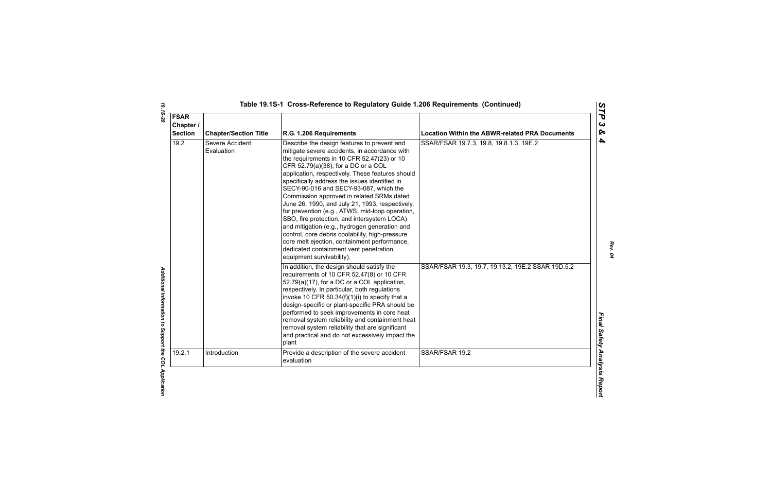| <b>FSAR</b><br>Chapter /<br><b>Section</b> | <b>Chapter/Section Title</b>  | R.G. 1.206 Requirements                                                                                                                                                                                                                                                                                                                                                                                                                                                                                                                                                                                                                                                                                                                                        | <b>Location Within the ABWR-related PRA Documents</b> |
|--------------------------------------------|-------------------------------|----------------------------------------------------------------------------------------------------------------------------------------------------------------------------------------------------------------------------------------------------------------------------------------------------------------------------------------------------------------------------------------------------------------------------------------------------------------------------------------------------------------------------------------------------------------------------------------------------------------------------------------------------------------------------------------------------------------------------------------------------------------|-------------------------------------------------------|
| 19.2                                       | Severe Accident<br>Evaluation | Describe the design features to prevent and<br>mitigate severe accidents, in accordance with<br>the requirements in 10 CFR 52.47(23) or 10<br>CFR 52.79(a)(38), for a DC or a COL<br>application, respectively. These features should<br>specifically address the issues identified in<br>SECY-90-016 and SECY-93-087, which the<br>Commission approved in related SRMs dated<br>June 26, 1990, and July 21, 1993, respectively,<br>for prevention (e.g., ATWS, mid-loop operation,<br>SBO, fire protection, and intersystem LOCA)<br>and mitigation (e.g., hydrogen generation and<br>control, core debris coolability, high-pressure<br>core melt ejection, containment performance,<br>dedicated containment vent penetration,<br>equipment survivability). | SSAR/FSAR 19.7.3, 19.8, 19.8.1.3, 19E.2               |
|                                            |                               | In addition, the design should satisfy the<br>requirements of 10 CFR 52.47(8) or 10 CFR<br>52.79(a)(17), for a DC or a COL application,<br>respectively. In particular, both regulations<br>invoke 10 CFR 50.34(f)(1)(i) to specify that a<br>design-specific or plant-specific PRA should be<br>performed to seek improvements in core heat<br>removal system reliability and containment heat<br>removal system reliability that are significant<br>and practical and do not excessively impact the<br>plant                                                                                                                                                                                                                                                 | SSAR/FSAR 19.3, 19.7, 19.13.2, 19E.2 SSAR 19D.5.2     |
| 19.2.1                                     | Introduction                  | Provide a description of the severe accident<br>evaluation                                                                                                                                                                                                                                                                                                                                                                                                                                                                                                                                                                                                                                                                                                     | SSAR/FSAR 19.2                                        |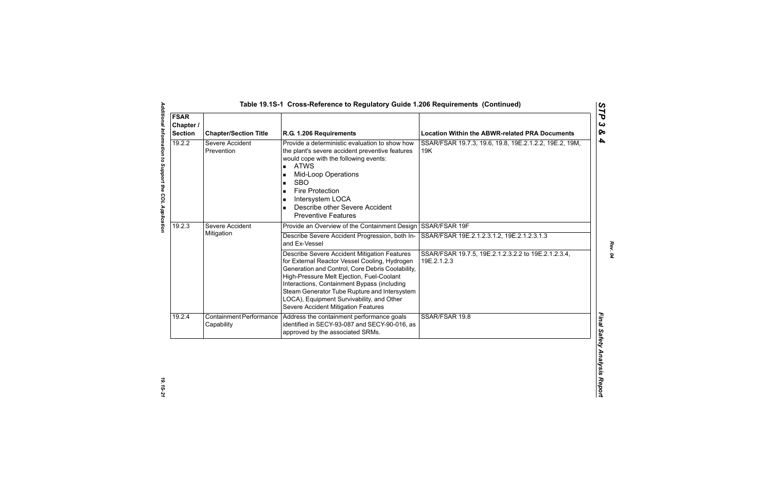| <b>FSAR</b><br>Chapter /<br><b>Section</b> | <b>Chapter/Section Title</b>                 | R.G. 1.206 Requirements                                                                                                                                                                                                                                                                                                                                                           | <b>Location Within the ABWR-related PRA Documents</b>              |
|--------------------------------------------|----------------------------------------------|-----------------------------------------------------------------------------------------------------------------------------------------------------------------------------------------------------------------------------------------------------------------------------------------------------------------------------------------------------------------------------------|--------------------------------------------------------------------|
| 19.2.2                                     | Severe Accident<br>Prevention                | Provide a deterministic evaluation to show how<br>the plant's severe accident preventive features<br>would cope with the following events:<br><b>ATWS</b><br><b>Mid-Loop Operations</b><br><b>SBO</b><br>$\blacksquare$<br><b>Fire Protection</b><br>Intersystem LOCA<br>Describe other Severe Accident<br><b>Preventive Features</b>                                             | SSAR/FSAR 19.7.3, 19.6, 19.8, 19E.2.1.2.2, 19E.2, 19M,<br>19K      |
| 19.2.3                                     | Severe Accident<br>Mitigation                | Provide an Overview of the Containment Design SSAR/FSAR 19F                                                                                                                                                                                                                                                                                                                       |                                                                    |
|                                            |                                              | Describe Severe Accident Progression, both In-<br>and Ex-Vessel                                                                                                                                                                                                                                                                                                                   | SSAR/FSAR 19E.2.1.2.3.1.2, 19E.2.1.2.3.1.3                         |
|                                            |                                              | Describe Severe Accident Mitigation Features<br>for External Reactor Vessel Cooling, Hydrogen<br>Generation and Control, Core Debris Coolability,<br>High-Pressure Melt Ejection, Fuel-Coolant<br>Interactions, Containment Bypass (including<br>Steam Generator Tube Rupture and Intersystem<br>LOCA), Equipment Survivability, and Other<br>Severe Accident Mitigation Features | SSAR/FSAR 19.7.5, 19E.2.1.2.3.2.2 to 19E.2.1.2.3.4,<br>19E.2.1.2.3 |
| 19.2.4                                     | <b>Containment Performance</b><br>Capability | Address the containment performance goals<br>identified in SECY-93-087 and SECY-90-016, as<br>approved by the associated SRMs.                                                                                                                                                                                                                                                    | SSAR/FSAR 19.8                                                     |

*Rev. 04*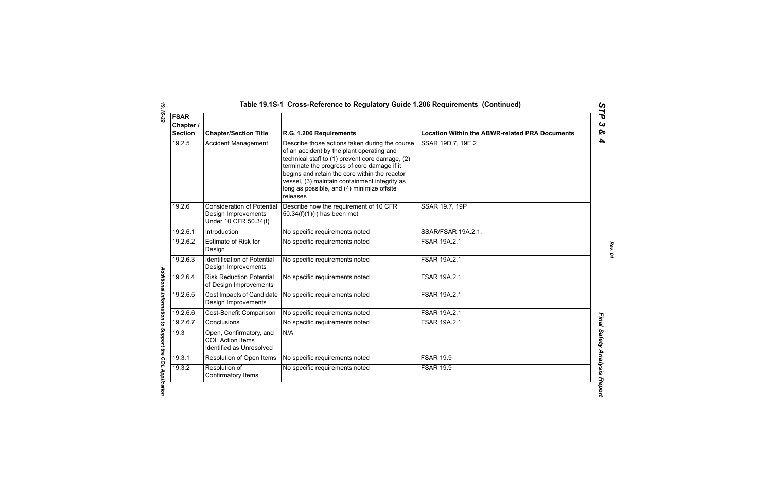| <b>FSAR</b><br>Chapter /<br><b>Section</b> | <b>Chapter/Section Title</b>                                                      | R.G. 1.206 Requirements                                                                                                                                                                                                                                                                                                                                   | <b>Location Within the ABWR-related PRA Documents</b> |
|--------------------------------------------|-----------------------------------------------------------------------------------|-----------------------------------------------------------------------------------------------------------------------------------------------------------------------------------------------------------------------------------------------------------------------------------------------------------------------------------------------------------|-------------------------------------------------------|
| 19.2.5                                     | <b>Accident Management</b>                                                        | Describe those actions taken during the course<br>of an accident by the plant operating and<br>technical staff to (1) prevent core damage, (2)<br>terminate the progress of core damage if it<br>begins and retain the core within the reactor<br>vessel, (3) maintain containment integrity as<br>long as possible, and (4) minimize offsite<br>releases | SSAR 19D.7, 19E.2                                     |
| 19.2.6                                     | <b>Consideration of Potential</b><br>Design Improvements<br>Under 10 CFR 50.34(f) | Describe how the requirement of 10 CFR<br>50.34(f)(1)(l) has been met                                                                                                                                                                                                                                                                                     | SSAR 19.7, 19P                                        |
| 19.2.6.1                                   | Introduction                                                                      | No specific requirements noted                                                                                                                                                                                                                                                                                                                            | SSAR/FSAR 19A.2.1,                                    |
| 19.2.6.2                                   | <b>Estimate of Risk for</b><br>Design                                             | No specific requirements noted                                                                                                                                                                                                                                                                                                                            | FSAR 19A.2.1                                          |
| 19.2.6.3                                   | <b>Identification of Potential</b><br>Design Improvements                         | No specific requirements noted                                                                                                                                                                                                                                                                                                                            | FSAR 19A.2.1                                          |
| 19.2.6.4                                   | <b>Risk Reduction Potential</b><br>of Design Improvements                         | No specific requirements noted                                                                                                                                                                                                                                                                                                                            | <b>FSAR 19A.2.1</b>                                   |
| 19.2.6.5                                   | Cost Impacts of Candidate<br>Design Improvements                                  | No specific requirements noted                                                                                                                                                                                                                                                                                                                            | FSAR 19A.2.1                                          |
| 19.2.6.6                                   | Cost-Benefit Comparison                                                           | No specific requirements noted                                                                                                                                                                                                                                                                                                                            | <b>FSAR 19A.2.1</b>                                   |
| 19.2.6.7                                   | Conclusions                                                                       | No specific requirements noted                                                                                                                                                                                                                                                                                                                            | <b>FSAR 19A.2.1</b>                                   |
| 19.3                                       | Open, Confirmatory, and<br><b>COL Action Items</b><br>Identified as Unresolved    | N/A                                                                                                                                                                                                                                                                                                                                                       |                                                       |
| 19.3.1                                     | Resolution of Open Items                                                          | No specific requirements noted                                                                                                                                                                                                                                                                                                                            | <b>FSAR 19.9</b>                                      |
| 19.3.2                                     | Resolution of<br>Confirmatory Items                                               | No specific requirements noted                                                                                                                                                                                                                                                                                                                            | <b>FSAR 19.9</b>                                      |

*19.1S-22 Additional Information to Support the COL Application* 

Additional Information to Support the COL Application